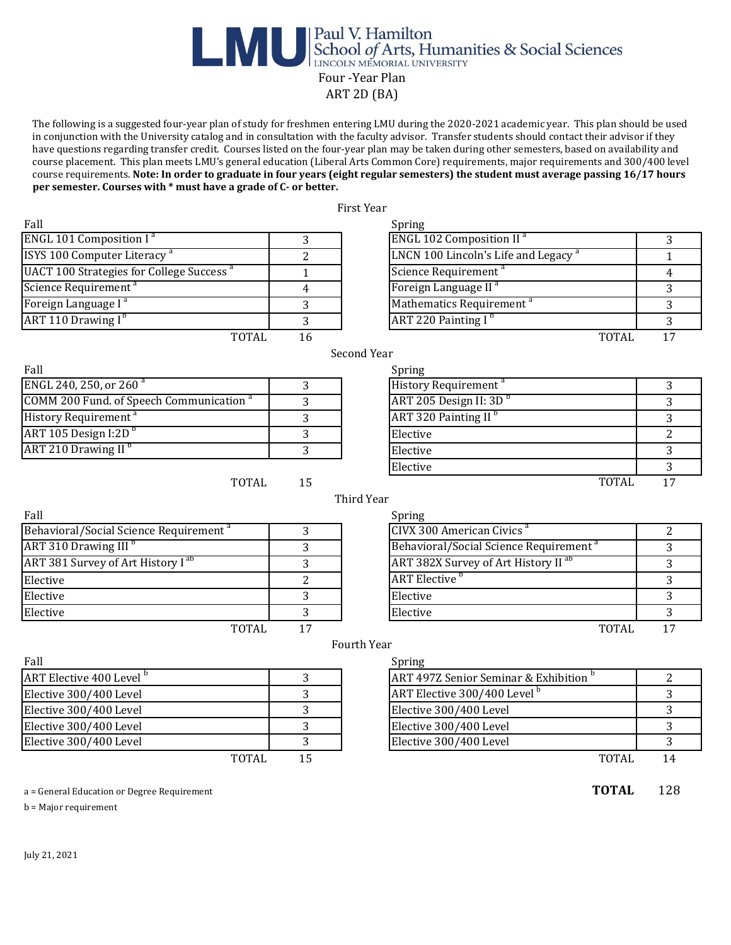## Paul V. Hamilton<br>School of Arts, Humanities & Social Sciences Four -Year Plan ART 2D (BA)

The following is a suggested four-year plan of study for freshmen entering LMU during the 2020-2021 academic year. This plan should be used in conjunction with the University catalog and in consultation with the faculty advisor. Transfer students should contact their advisor if they have questions regarding transfer credit. Courses listed on the four-year plan may be taken during other semesters, based on availability and course placement. This plan meets LMU's general education (Liberal Arts Common Core) requirements, major requirements and 300/400 level course requirements. **Note: In order to graduate in four years (eight regular semesters) the student must average passing 16/17 hours per semester. Courses with \* must have a grade of C- or better.** 

First Year

| rall                                                 |                         | Spring                                             |              |
|------------------------------------------------------|-------------------------|----------------------------------------------------|--------------|
| <b>ENGL 101 Composition I<sup>a</sup></b>            | 3                       | <b>ENGL 102 Composition II<sup>a</sup></b>         | 3            |
| ISYS 100 Computer Literacy <sup>a</sup>              | $\overline{c}$          | LNCN 100 Lincoln's Life and Legacy <sup>a</sup>    | $\mathbf{1}$ |
| UACT 100 Strategies for College Success <sup>a</sup> | 1                       | Science Requirement <sup>a</sup>                   | 4            |
| Science Requirement <sup>a</sup>                     | $\overline{\mathbf{4}}$ | Foreign Language II <sup>a</sup>                   | 3            |
| Foreign Language I <sup>a</sup>                      | 3                       | Mathematics Requirement <sup>a</sup>               | 3            |
| ART 110 Drawing I <sup>b</sup>                       | 3                       | ART 220 Painting I <sup>b</sup>                    | 3            |
| <b>TOTAL</b>                                         | 16                      | <b>TOTAL</b>                                       | 17           |
|                                                      |                         | Second Year                                        |              |
| Fall                                                 |                         | Spring                                             |              |
| ENGL 240, 250, or 260 <sup>a</sup>                   | 3                       | History Requirement <sup>a</sup>                   | 3            |
| COMM 200 Fund. of Speech Communication <sup>a</sup>  | 3                       | ART 205 Design II: 3D <sup>b</sup>                 | 3            |
| History Requirement <sup>a</sup>                     | 3                       | ART 320 Painting II <sup>b</sup>                   | 3            |
| ART 105 Design I:2D <sup>b</sup>                     | 3                       | Elective                                           | 2            |
| ART 210 Drawing II <sup>b</sup>                      | 3                       | Elective                                           | 3            |
|                                                      |                         | Elective                                           | 3            |
| <b>TOTAL</b>                                         | 15                      | <b>TOTAL</b>                                       | 17           |
|                                                      |                         | Third Year                                         |              |
| Fall                                                 |                         | Spring                                             |              |
| Behavioral/Social Science Requirement <sup>a</sup>   | 3                       | CIVX 300 American Civics <sup>a</sup>              | 2            |
| ART 310 Drawing III <sup>b</sup>                     | 3                       | Behavioral/Social Science Requirement <sup>a</sup> | 3            |
| ART 381 Survey of Art History I <sup>ab</sup>        | 3                       | ART 382X Survey of Art History II <sup>ab</sup>    | 3            |
| Elective                                             | $\overline{2}$          | <b>ART</b> Elective <sup>b</sup>                   | 3            |
| Elective                                             | 3                       | Elective                                           | 3            |
| Elective                                             | 3                       | Elective                                           | 3            |
| <b>TOTAL</b>                                         | 17                      | <b>TOTAL</b>                                       | 17           |
|                                                      |                         | Fourth Year                                        |              |
| Fall                                                 |                         | Spring                                             |              |
| ART Elective 400 Level <sup>b</sup>                  | 3                       | ART 497Z Senior Seminar & Exhibition <sup>b</sup>  | 2            |
| Elective 300/400 Level                               | 3                       | ART Elective 300/400 Level <sup>b</sup>            | 3            |
| Elective 300/400 Level                               | 3                       | Elective 300/400 Level                             | 3            |
| Elective 300/400 Level                               | 3                       | Elective 300/400 Level                             | 3            |
| Elective 300/400 Level                               | 3                       | Elective 300/400 Level                             | 3            |
| <b>TOTAL</b>                                         | 15                      | <b>TOTAL</b>                                       | 14           |
|                                                      |                         |                                                    |              |
| a = General Education or Degree Requirement          |                         | <b>TOTAL</b>                                       | 128          |
|                                                      |                         |                                                    |              |

b = Major requirement

July 21, 2021